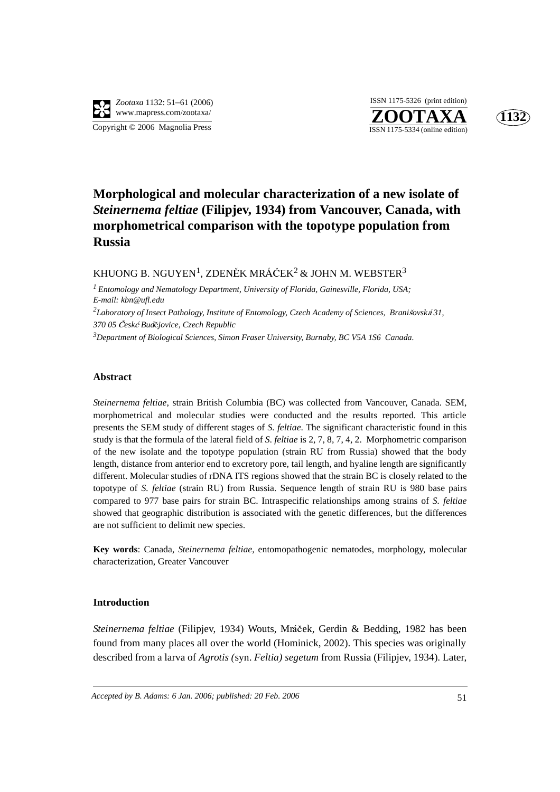

**ZOOTAXA**<br>ISSN 1175-5334 (online edition) ISSN 1175-5326 (print edition)



# **Morphological and molecular characterization of a new isolate of**  *Steinernema feltiae* **(Filipjev, 1934) from Vancouver, Canada, with morphometrical comparison with the topotype population from Russia**

KHUONG B. NGUYEN $^1$ , ZDENĚK MRÁČEK $^2$  & JOHN M. WEBSTER $^3$ 

*1 Entomology and Nematology Department, University of Florida, Gainesville, Florida, USA; E-mail: kbn@ufl.edu*

<sup>2</sup>Laboratory of Insect Pathology, Institute of Entomology, Czech Academy of Sciences, Brani*šovská* 31, *370 05 esk Budjovice, Czech Republic*

*3 Department of Biological Sciences, Simon Fraser University, Burnaby, BC V5A 1S6 Canada.*

#### **Abstract**

*Steinernema feltiae*, strain British Columbia (BC) was collected from Vancouver, Canada. SEM, morphometrical and molecular studies were conducted and the results reported. This article presents the SEM study of different stages of *S. feltiae*. The significant characteristic found in this study is that the formula of the lateral field of *S*. *feltiae* is 2, 7, 8, 7, 4, 2. Morphometric comparison of the new isolate and the topotype population (strain RU from Russia) showed that the body length, distance from anterior end to excretory pore, tail length, and hyaline length are significantly different. Molecular studies of rDNA ITS regions showed that the strain BC is closely related to the topotype of *S. feltiae* (strain RU) from Russia. Sequence length of strain RU is 980 base pairs compared to 977 base pairs for strain BC. Intraspecific relationships among strains of *S. feltiae* showed that geographic distribution is associated with the genetic differences, but the differences are not sufficient to delimit new species.

**Key words**: Canada, *Steinernema feltiae,* entomopathogenic nematodes, morphology, molecular characterization, Greater Vancouver

# **Introduction**

*Steinernema feltiae* (Filipjev, 1934) Wouts, Mráček, Gerdin & Bedding, 1982 has been found from many places all over the world (Hominick, 2002). This species was originally described from a larva of *Agrotis (*syn. *Feltia) segetum* from Russia (Filipjev, 1934). Later,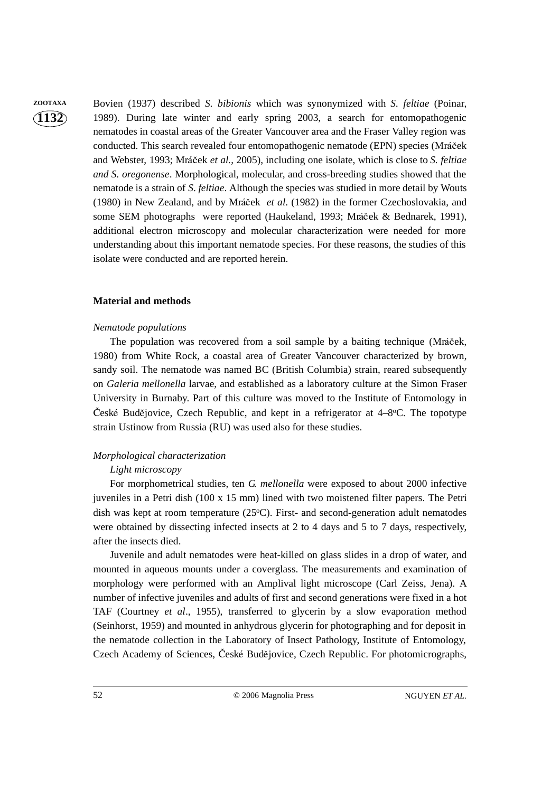**1132**

**ZOOTAXA** Bovien (1937) described *S. bibionis* which was synonymized with *S. feltiae* (Poinar, 1989). During late winter and early spring 2003, a search for entomopathogenic nematodes in coastal areas of the Greater Vancouver area and the Fraser Valley region was conducted. This search revealed four entomopathogenic nematode (EPN) species (Mráček and Webster, 1993; Mráček *et al.*, 2005), including one isolate, which is close to *S. feltiae and S. oregonense*. Morphological, molecular, and cross-breeding studies showed that the nematode is a strain of *S*. *feltiae*. Although the species was studied in more detail by Wouts (1980) in New Zealand, and by Mráček *et al.* (1982) in the former Czechoslovakia, and some SEM photographs were reported (Haukeland, 1993; Mráček & Bednarek, 1991), additional electron microscopy and molecular characterization were needed for more understanding about this important nematode species. For these reasons, the studies of this isolate were conducted and are reported herein.

# **Material and methods**

# *Nematode populations*

The population was recovered from a soil sample by a baiting technique (Mráček, 1980) from White Rock, a coastal area of Greater Vancouver characterized by brown, sandy soil. The nematode was named BC (British Columbia) strain, reared subsequently on *Galeria mellonella* larvae, and established as a laboratory culture at the Simon Fraser University in Burnaby. Part of this culture was moved to the Institute of Entomology in České Budějovice, Czech Republic, and kept in a refrigerator at  $4-8$ °C. The topotype strain Ustinow from Russia (RU) was used also for these studies.

# *Morphological characterization*

# *Light microscopy*

For morphometrical studies, ten *G. mellonella* were exposed to about 2000 infective juveniles in a Petri dish (100 x 15 mm) lined with two moistened filter papers. The Petri dish was kept at room temperature (25°C). First- and second-generation adult nematodes were obtained by dissecting infected insects at 2 to 4 days and 5 to 7 days, respectively, after the insects died.

Juvenile and adult nematodes were heat-killed on glass slides in a drop of water, and mounted in aqueous mounts under a coverglass. The measurements and examination of morphology were performed with an Amplival light microscope (Carl Zeiss, Jena). A number of infective juveniles and adults of first and second generations were fixed in a hot TAF (Courtney *et al*., 1955), transferred to glycerin by a slow evaporation method (Seinhorst, 1959) and mounted in anhydrous glycerin for photographing and for deposit in the nematode collection in the Laboratory of Insect Pathology, Institute of Entomology, Czech Academy of Sciences, České Budějovice, Czech Republic. For photomicrographs,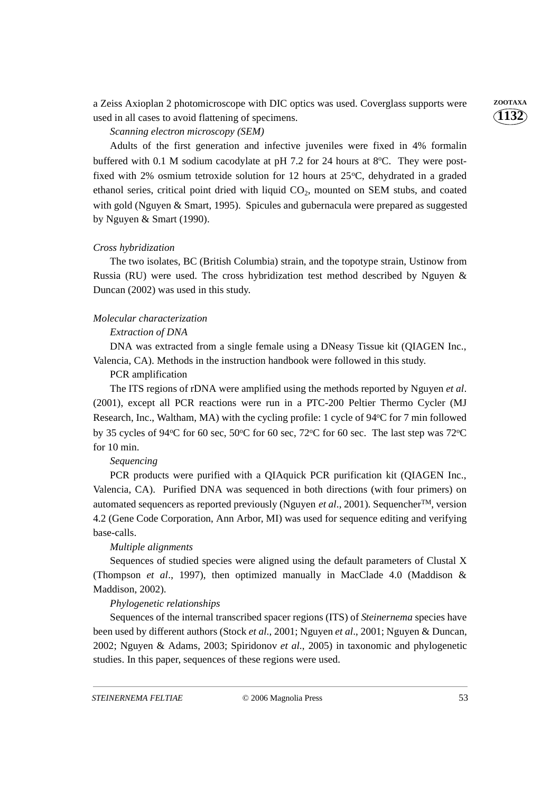a Zeiss Axioplan 2 photomicroscope with DIC optics was used. Coverglass supports were **ZOOTAXA** used in all cases to avoid flattening of specimens.

# *Scanning electron microscopy (SEM)*

Adults of the first generation and infective juveniles were fixed in 4% formalin buffered with 0.1 M sodium cacodylate at pH 7.2 for 24 hours at  $8^{\circ}$ C. They were postfixed with 2% osmium tetroxide solution for 12 hours at  $25^{\circ}$ C, dehydrated in a graded ethanol series, critical point dried with liquid  $CO<sub>2</sub>$ , mounted on SEM stubs, and coated with gold (Nguyen & Smart, 1995). Spicules and gubernacula were prepared as suggested by Nguyen & Smart (1990).

# *Cross hybridization*

The two isolates, BC (British Columbia) strain, and the topotype strain, Ustinow from Russia (RU) were used. The cross hybridization test method described by Nguyen & Duncan (2002) was used in this study.

# *Molecular characterization*

#### *Extraction of DNA*

DNA was extracted from a single female using a DNeasy Tissue kit (QIAGEN Inc., Valencia, CA). Methods in the instruction handbook were followed in this study.

PCR amplification

The ITS regions of rDNA were amplified using the methods reported by Nguyen *et al*. (2001), except all PCR reactions were run in a PTC-200 Peltier Thermo Cycler (MJ Research, Inc., Waltham, MA) with the cycling profile: 1 cycle of 94°C for 7 min followed by 35 cycles of 94°C for 60 sec, 50°C for 60 sec, 72°C for 60 sec. The last step was 72°C for 10 min.

#### *Sequencing*

PCR products were purified with a QIAquick PCR purification kit (QIAGEN Inc., Valencia, CA). Purified DNA was sequenced in both directions (with four primers) on automated sequencers as reported previously (Nguyen *et al*., 2001). SequencherTM, version 4.2 (Gene Code Corporation, Ann Arbor, MI) was used for sequence editing and verifying base-calls.

#### *Multiple alignments*

Sequences of studied species were aligned using the default parameters of Clustal X (Thompson *et al*., 1997), then optimized manually in MacClade 4.0 (Maddison & Maddison, 2002).

#### *Phylogenetic relationships*

Sequences of the internal transcribed spacer regions (ITS) of *Steinernema* species have been used by different authors (Stock *et al*., 2001; Nguyen *et al*., 2001; Nguyen & Duncan, 2002; Nguyen & Adams, 2003; Spiridonov *et al*., 2005) in taxonomic and phylogenetic studies. In this paper, sequences of these regions were used.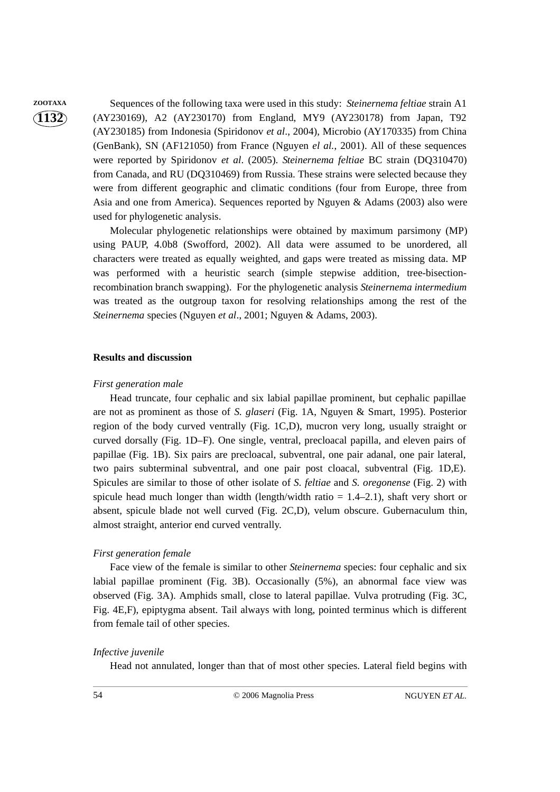# **1132**

**ZOOTAXA** Sequences of the following taxa were used in this study: *Steinernema feltiae* strain A1 (AY230169), A2 (AY230170) from England, MY9 (AY230178) from Japan, T92 (AY230185) from Indonesia (Spiridonov *et al*., 2004), Microbio (AY170335) from China (GenBank), SN (AF121050) from France (Nguyen *el al.*, 2001). All of these sequences were reported by Spiridonov *et al*. (2005). *Steinernema feltiae* BC strain (DQ310470) from Canada, and RU (DQ310469) from Russia. These strains were selected because they were from different geographic and climatic conditions (four from Europe, three from Asia and one from America). Sequences reported by Nguyen & Adams (2003) also were used for phylogenetic analysis.

> Molecular phylogenetic relationships were obtained by maximum parsimony (MP) using PAUP, 4.0b8 (Swofford, 2002). All data were assumed to be unordered, all characters were treated as equally weighted, and gaps were treated as missing data. MP was performed with a heuristic search (simple stepwise addition, tree-bisectionrecombination branch swapping). For the phylogenetic analysis *Steinernema intermedium* was treated as the outgroup taxon for resolving relationships among the rest of the *Steinernema* species (Nguyen *et al*., 2001; Nguyen & Adams, 2003).

# **Results and discussion**

# *First generation male*

Head truncate, four cephalic and six labial papillae prominent, but cephalic papillae are not as prominent as those of *S. glaseri* (Fig. 1A, Nguyen & Smart, 1995). Posterior region of the body curved ventrally (Fig. 1C,D), mucron very long, usually straight or curved dorsally (Fig. 1D–F). One single, ventral, precloacal papilla, and eleven pairs of papillae (Fig. 1B). Six pairs are precloacal, subventral, one pair adanal, one pair lateral, two pairs subterminal subventral, and one pair post cloacal, subventral (Fig. 1D,E). Spicules are similar to those of other isolate of *S. feltiae* and *S. oregonense* (Fig. 2) with spicule head much longer than width (length/width ratio  $= 1.4-2.1$ ), shaft very short or absent, spicule blade not well curved (Fig. 2C,D), velum obscure. Gubernaculum thin, almost straight, anterior end curved ventrally.

# *First generation female*

 Face view of the female is similar to other *Steinernema* species: four cephalic and six labial papillae prominent (Fig. 3B). Occasionally (5%), an abnormal face view was observed (Fig. 3A). Amphids small, close to lateral papillae. Vulva protruding (Fig. 3C, Fig. 4E,F), epiptygma absent. Tail always with long, pointed terminus which is different from female tail of other species.

# *Infective juvenile*

Head not annulated, longer than that of most other species. Lateral field begins with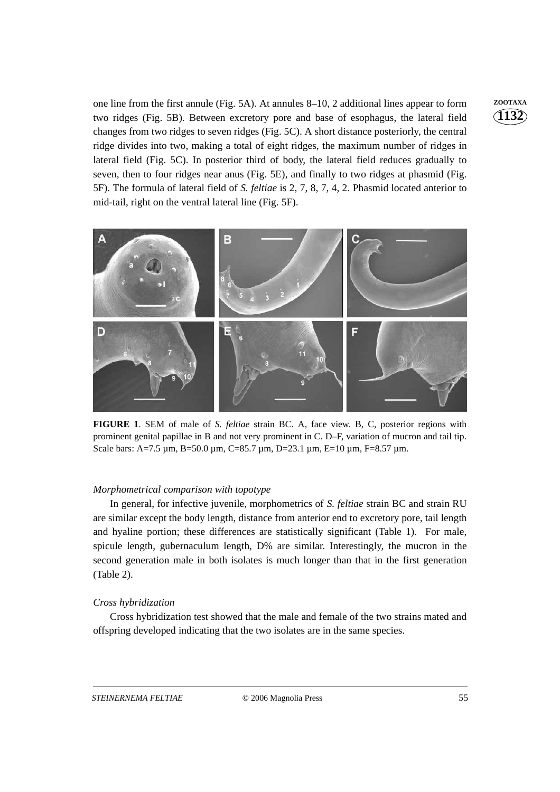one line from the first annule (Fig. 5A). At annules 8–10, 2 additional lines appear to form **ZOOTAXA** two ridges (Fig. 5B). Between excretory pore and base of esophagus, the lateral field changes from two ridges to seven ridges (Fig. 5C). A short distance posteriorly, the central ridge divides into two, making a total of eight ridges, the maximum number of ridges in lateral field (Fig. 5C). In posterior third of body, the lateral field reduces gradually to seven, then to four ridges near anus (Fig. 5E), and finally to two ridges at phasmid (Fig. 5F). The formula of lateral field of *S. feltiae* is 2, 7, 8, 7, 4, 2. Phasmid located anterior to mid-tail, right on the ventral lateral line (Fig. 5F).



**FIGURE 1**. SEM of male of *S. feltiae* strain BC. A, face view. B, C, posterior regions with prominent genital papillae in B and not very prominent in C. D–F, variation of mucron and tail tip. Scale bars: A=7.5 µm, B=50.0 µm, C=85.7 µm, D=23.1 µm, E=10 µm, F=8.57 µm.

#### *Morphometrical comparison with topotype*

In general, for infective juvenile, morphometrics of *S. feltiae* strain BC and strain RU are similar except the body length, distance from anterior end to excretory pore, tail length and hyaline portion; these differences are statistically significant (Table 1). For male, spicule length, gubernaculum length, D% are similar. Interestingly, the mucron in the second generation male in both isolates is much longer than that in the first generation (Table 2).

# *Cross hybridization*

Cross hybridization test showed that the male and female of the two strains mated and offspring developed indicating that the two isolates are in the same species.

**1132**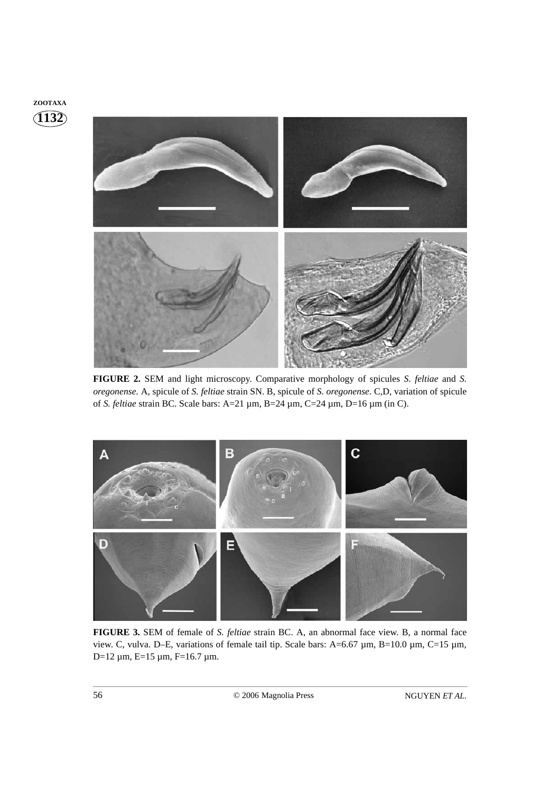

**FIGURE 2.** SEM and light microscopy. Comparative morphology of spicules *S*. *feltiae* and *S. oregonense.* A, spicule of *S. feltiae* strain SN. B, spicule of *S. oregonense.* C,D, variation of spicule of *S. feltiae* strain BC. Scale bars: A=21 µm, B=24 µm, C=24 µm, D=16 µm (in C).



**FIGURE 3.** SEM of female of *S. feltiae* strain BC. A, an abnormal face view. B, a normal face view. C, vulva. D–E, variations of female tail tip. Scale bars: A=6.67 µm, B=10.0 µm, C=15 µm, D=12 µm, E=15 µm, F=16.7 µm.

**ZOOTAXA**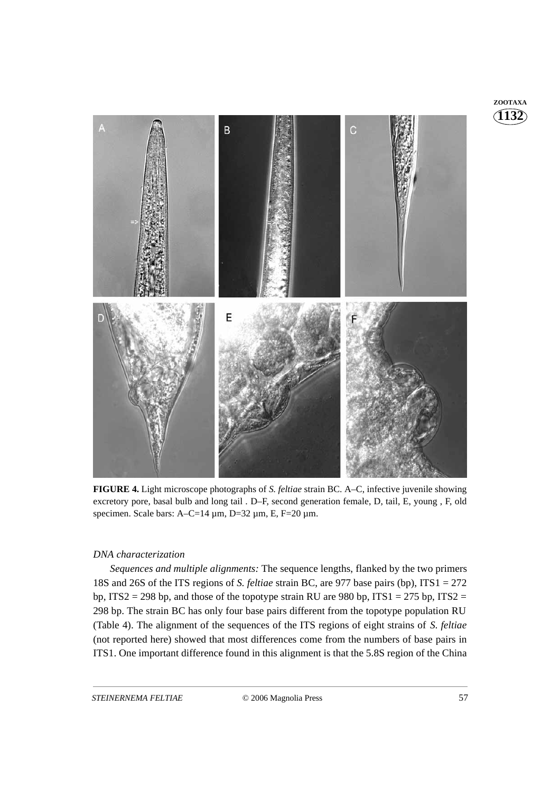

**FIGURE 4.** Light microscope photographs of *S. feltiae* strain BC. A–C, infective juvenile showing excretory pore, basal bulb and long tail . D–F, second generation female, D, tail, E, young , F, old specimen. Scale bars:  $A-C=14 \mu m$ ,  $D=32 \mu m$ , E,  $F=20 \mu m$ .

# *DNA characterization*

*Sequences and multiple alignments:* The sequence lengths, flanked by the two primers 18S and 26S of the ITS regions of *S. feltiae* strain BC, are 977 base pairs (bp), ITS1 = 272 bp, ITS2 = 298 bp, and those of the topotype strain RU are 980 bp, ITS1 = 275 bp, ITS2 = 298 bp. The strain BC has only four base pairs different from the topotype population RU (Table 4). The alignment of the sequences of the ITS regions of eight strains of *S*. *feltiae* (not reported here) showed that most differences come from the numbers of base pairs in ITS1. One important difference found in this alignment is that the 5.8S region of the China **1132 ZOOTAXA**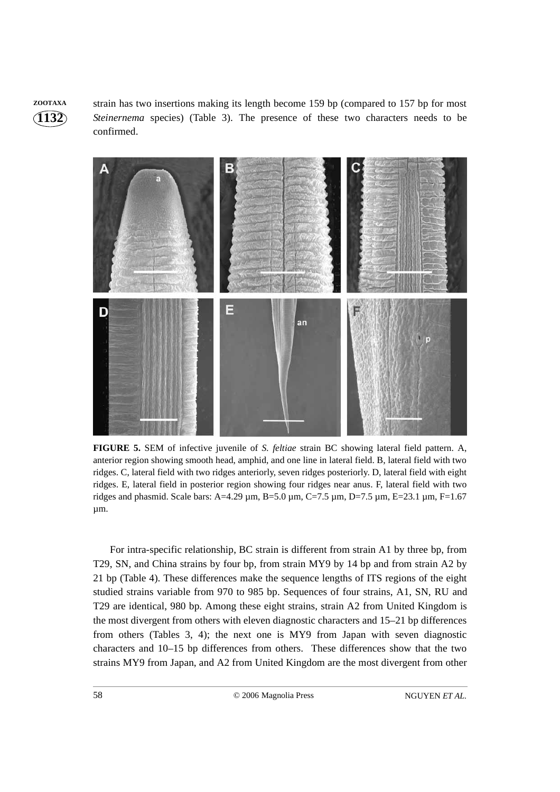**1132 ZOOTAXA** strain has two insertions making its length become 159 bp (compared to 157 bp for most *Steinernema* species) (Table 3). The presence of these two characters needs to be confirmed.



**FIGURE 5.** SEM of infective juvenile of *S. feltiae* strain BC showing lateral field pattern. A, anterior region showing smooth head, amphid, and one line in lateral field. B, lateral field with two ridges. C, lateral field with two ridges anteriorly, seven ridges posteriorly. D, lateral field with eight ridges. E, lateral field in posterior region showing four ridges near anus. F, lateral field with two ridges and phasmid. Scale bars: A=4.29 µm, B=5.0 µm, C=7.5 µm, D=7.5 µm, E=23.1 µm, F=1.67 µm.

For intra-specific relationship, BC strain is different from strain A1 by three bp, from T29, SN, and China strains by four bp, from strain MY9 by 14 bp and from strain A2 by 21 bp (Table 4). These differences make the sequence lengths of ITS regions of the eight studied strains variable from 970 to 985 bp. Sequences of four strains, A1, SN, RU and T29 are identical, 980 bp. Among these eight strains, strain A2 from United Kingdom is the most divergent from others with eleven diagnostic characters and 15–21 bp differences from others (Tables 3, 4); the next one is MY9 from Japan with seven diagnostic characters and 10–15 bp differences from others. These differences show that the two strains MY9 from Japan, and A2 from United Kingdom are the most divergent from other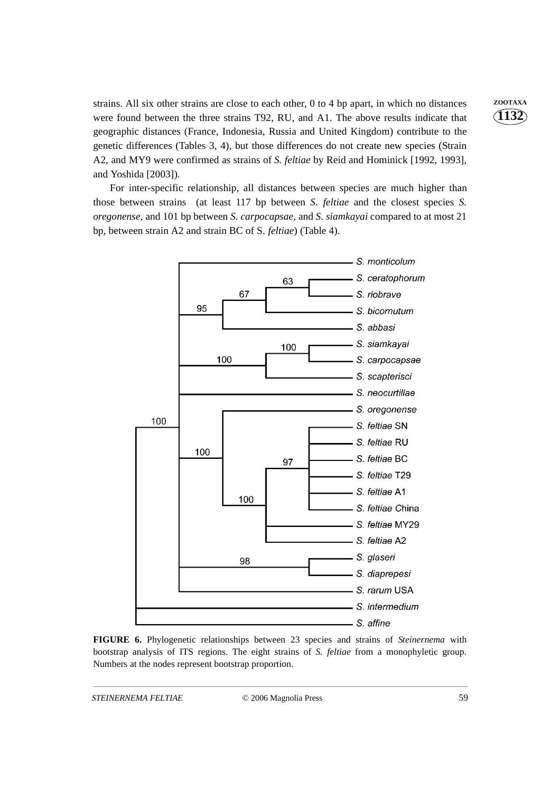strains. All six other strains are close to each other, 0 to 4 bp apart, in which no distances **ZOOTAXA** were found between the three strains T92, RU, and A1. The above results indicate that geographic distances (France, Indonesia, Russia and United Kingdom) contribute to the genetic differences (Tables 3, 4), but those differences do not create new species (Strain A2, and MY9 were confirmed as strains of *S. feltiae* by Reid and Hominick [1992, 1993], and Yoshida [2003]).

For inter-specific relationship, all distances between species are much higher than those between strains (at least 117 bp between *S. feltiae* and the closest species *S. oregonense*, and 101 bp between *S. carpocapsae*, and *S. siamkayai* compared to at most 21 bp, between strain A2 and strain BC of S*. feltiae*) (Table 4).



**FIGURE 6.** Phylogenetic relationships between 23 species and strains of *Steinernema* with bootstrap analysis of ITS regions. The eight strains of *S. feltiae* from a monophyletic group. Numbers at the nodes represent bootstrap proportion.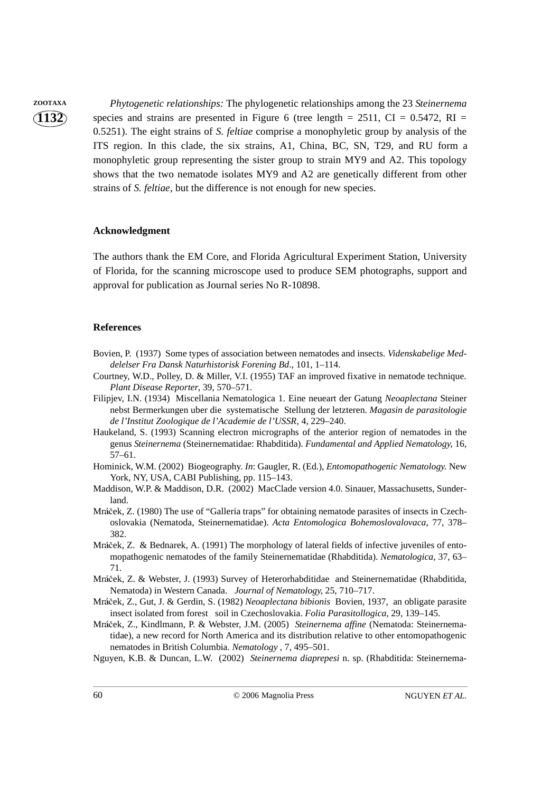**1132**

**ZOOTAXA** *Phytogenetic relationships:* The phylogenetic relationships among the 23 *Steinernema* species and strains are presented in Figure 6 (tree length =  $2511$ , CI =  $0.5472$ , RI = 0.5251). The eight strains of *S. feltiae* comprise a monophyletic group by analysis of the ITS region. In this clade, the six strains, A1, China, BC, SN, T29, and RU form a monophyletic group representing the sister group to strain MY9 and A2. This topology shows that the two nematode isolates MY9 and A2 are genetically different from other strains of *S. feltiae*, but the difference is not enough for new species.

#### **Acknowledgment**

The authors thank the EM Core, and Florida Agricultural Experiment Station, University of Florida, for the scanning microscope used to produce SEM photographs, support and approval for publication as Journal series No R-10898.

#### **References**

- Bovien, P. (1937) Some types of association between nematodes and insects. *Videnskabelige Meddelelser Fra Dansk Naturhistorisk Forening Bd*., 101, 1–114.
- Courtney, W.D., Polley, D. & Miller, V.I. (1955) TAF an improved fixative in nematode technique. *Plant Disease Reporter*, 39, 570–571.
- Filipjev, I.N. (1934) Miscellania Nematologica 1. Eine neueart der Gatung *Neoaplectana* Steiner nebst Bermerkungen uber die systematische Stellung der letzteren. *Magasin de parasitologie de l'Institut Zoologique de l'Academie de l'USSR*, 4, 229–240.
- Haukeland, S. (1993) Scanning electron micrographs of the anterior region of nematodes in the genus *Steinernema* (Steinernematidae: Rhabditida). *Fundamental and Applied Nematology*, 16, 57–61.
- Hominick, W.M. (2002) Biogeography. *In*: Gaugler, R. (Ed.), *Entomopathogenic Nematology.* New York, NY, USA, CABI Publishing, pp. 115–143.
- Maddison, W.P. & Maddison, D.R. (2002) MacClade version 4.0. Sinauer, Massachusetts, Sunderland.
- Mráček, Z. (1980) The use of "Galleria traps" for obtaining nematode parasites of insects in Czech-<br>episode Steinernematidae) Acta Entomologica Bohamoslovalovaca, 77, 378 oslovakia (Nematoda, Steinernematidae). *Acta Entomologica Bohemoslovalovaca*, 77, 378– 382.
- Mráček, Z. & Bednarek, A. (1991) The morphology of lateral fields of infective juveniles of ento-<br>monathogenic nematodes of the family Steinernematidae (Rhabditida) *Nematologica*, 37, 63– mopathogenic nematodes of the family Steinernematidae (Rhabditida). *Nematologica*, 37, 63– 71*.*
- Mráček, Z. & Webster, J. (1993) Survey of Heterorhabditidae and Steinernematidae (Rhabditida,<br>Nematoda) in Western Canada *Lournal of Nematology* 25, 710–717 Nematoda) in Western Canada. *Journal of Nematology*, 25, 710–717.
- Mráček, Z., Gut, J. & Gerdin, S. (1982) *Neoaplectana bibionis* Bovien, 1937, an obligate parasite<br>insect isolated from forest, soil in Czechoslovskia, *Eolia Parasitellogica*, 29, 139–145 insect isolated from forest soil in Czechoslovakia. *Folia Parasitollogica*, 29, 139–145.
- Mráček, Z., Kindlmann, P. & Webster, J.M. (2005) *Steinernema affine* (Nematoda: Steinernema-<br>tidae), a new record for North America and its distribution relative to other entomonathogenic tidae), a new record for North America and its distribution relative to other entomopathogenic nematodes in British Columbia. *Nematology* , 7, 495–501.
- Nguyen, K.B. & Duncan, L.W. (2002) *Steinernema diaprepesi* n. sp. (Rhabditida: Steinernema-